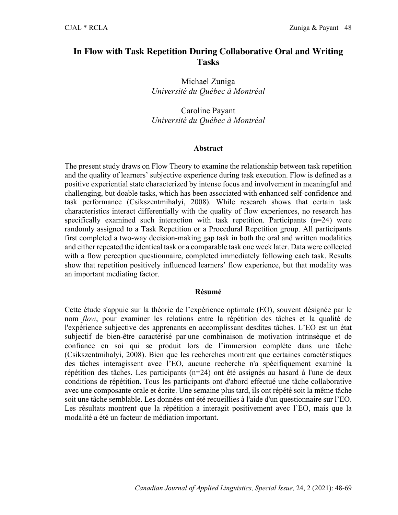# **In Flow with Task Repetition During Collaborative Oral and Writing Tasks**

Michael Zuniga *Université du Québec à Montréal*

Caroline Payant *Université du Québec à Montréal*

#### **Abstract**

The present study draws on Flow Theory to examine the relationship between task repetition and the quality of learners' subjective experience during task execution. Flow is defined as a positive experiential state characterized by intense focus and involvement in meaningful and challenging, but doable tasks, which has been associated with enhanced self-confidence and task performance (Csikszentmihalyi, 2008). While research shows that certain task characteristics interact differentially with the quality of flow experiences, no research has specifically examined such interaction with task repetition. Participants  $(n=24)$  were randomly assigned to a Task Repetition or a Procedural Repetition group. All participants first completed a two-way decision-making gap task in both the oral and written modalities and either repeated the identical task or a comparable task one week later. Data were collected with a flow perception questionnaire, completed immediately following each task. Results show that repetition positively influenced learners' flow experience, but that modality was an important mediating factor.

#### **Résumé**

Cette étude s'appuie sur la théorie de l'expérience optimale (EO), souvent désignée par le nom *flow*, pour examiner les relations entre la répétition des tâches et la qualité de l'expérience subjective des apprenants en accomplissant desdites tâches. L'EO est un état subjectif de bien-être caractérisé par une combinaison de motivation intrinsèque et de confiance en soi qui se produit lors de l'immersion complète dans une tâche (Csikszentmihalyi, 2008). Bien que les recherches montrent que certaines caractéristiques des tâches interagissent avec l'EO, aucune recherche n'a spécifiquement examiné la répétition des tâches. Les participants (n=24) ont été assignés au hasard à l'une de deux conditions de répétition. Tous les participants ont d'abord effectué une tâche collaborative avec une composante orale et écrite. Une semaine plus tard, ils ont répété soit la même tâche soit une tâche semblable. Les données ont été recueillies à l'aide d'un questionnaire sur l'EO. Les résultats montrent que la répétition a interagit positivement avec l'EO, mais que la modalité a été un facteur de médiation important.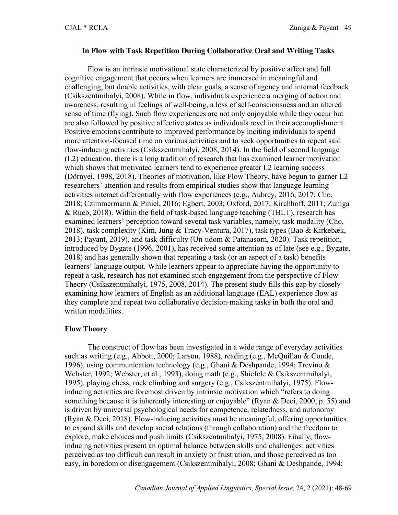#### **In Flow with Task Repetition During Collaborative Oral and Writing Tasks**

Flow is an intrinsic motivational state characterized by positive affect and full cognitive engagement that occurs when learners are immersed in meaningful and challenging, but doable activities, with clear goals, a sense of agency and internal feedback (Csikszentmihalyi, 2008). While in flow, individuals experience a merging of action and awareness, resulting in feelings of well-being, a loss of self-consciousness and an altered sense of time (flying). Such flow experiences are not only enjoyable while they occur but are also followed by positive affective states as individuals revel in their accomplishment. Positive emotions contribute to improved performance by inciting individuals to spend more attention-focused time on various activities and to seek opportunities to repeat said flow-inducing activities (Csikszentmihalyi, 2008, 2014). In the field of second language (L2) education, there is a long tradition of research that has examined learner motivation which shows that motivated learners tend to experience greater L2 learning success (Dörnyei, 1998, 2018). Theories of motivation, like Flow Theory, have begun to garner L2 researchers' attention and results from empirical studies show that language learning activities interact differentially with flow experiences (e.g., Aubrey, 2016, 2017; Cho, 2018; Czimmermann & Piniel, 2016; Egbert, 2003; Oxford, 2017; Kirchhoff, 2011; Zuniga & Rueb, 2018). Within the field of task-based language teaching (TBLT), research has examined learners' perception toward several task variables, namely, task modality (Cho, 2018), task complexity (Kim, Jung & Tracy-Ventura, 2017), task types (Bao & Kirkebæk, 2013; Payant, 2019), and task difficulty (Un-udom & Patanasorn, 2020). Task repetition, introduced by Bygate (1996, 2001), has received some attention as of late (see e.g., Bygate, 2018) and has generally shown that repeating a task (or an aspect of a task) benefits learners' language output. While learners appear to appreciate having the opportunity to repeat a task, research has not examined such engagement from the perspective of Flow Theory (Csikszentmihalyi, 1975, 2008, 2014). The present study fills this gap by closely examining how learners of English as an additional language (EAL) experience flow as they complete and repeat two collaborative decision-making tasks in both the oral and written modalities.

#### **Flow Theory**

The construct of flow has been investigated in a wide range of everyday activities such as writing (e.g., Abbott, 2000; Larson, 1988), reading (e.g., McQuillan & Conde, 1996), using communication technology (e.g., Ghani & Deshpande, 1994; Trevino & Webster, 1992; Webster, et al., 1993), doing math (e.g., Shiefele & Csikszentmihalyi, 1995), playing chess, rock climbing and surgery (e.g., Csikszentmihalyi, 1975). Flowinducing activities are foremost driven by intrinsic motivation which "refers to doing something because it is inherently interesting or enjoyable" (Ryan & Deci, 2000, p. 55) and is driven by universal psychological needs for competence, relatedness, and autonomy (Ryan & Deci, 2018). Flow-inducing activities must be meaningful, offering opportunities to expand skills and develop social relations (through collaboration) and the freedom to explore, make choices and push limits (Csikszentmihalyi, 1975, 2008). Finally, flowinducing activities present an optimal balance between skills and challenges: activities perceived as too difficult can result in anxiety or frustration, and those perceived as too easy, in boredom or disengagement (Csikszentmihalyi, 2008; Ghani & Deshpande, 1994;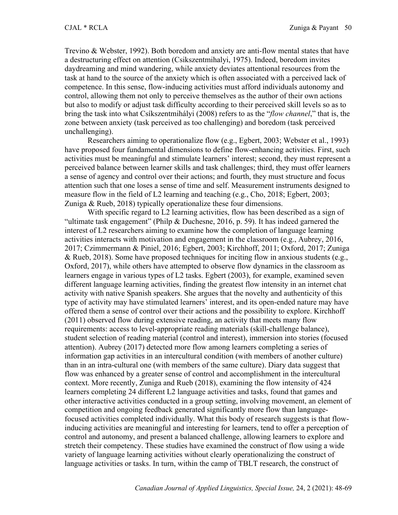Trevino & Webster, 1992). Both boredom and anxiety are anti-flow mental states that have a destructuring effect on attention (Csikszentmihalyi, 1975). Indeed, boredom invites daydreaming and mind wandering, while anxiety deviates attentional resources from the task at hand to the source of the anxiety which is often associated with a perceived lack of competence. In this sense, flow-inducing activities must afford individuals autonomy and control, allowing them not only to perceive themselves as the author of their own actions but also to modify or adjust task difficulty according to their perceived skill levels so as to bring the task into what Csíkszentmihályi (2008) refers to as the "*flow channel*," that is, the zone between anxiety (task perceived as too challenging) and boredom (task perceived unchallenging).

Researchers aiming to operationalize flow (e.g., Egbert, 2003; Webster et al., 1993) have proposed four fundamental dimensions to define flow-enhancing activities. First, such activities must be meaningful and stimulate learners' interest; second, they must represent a perceived balance between learner skills and task challenges; third, they must offer learners a sense of agency and control over their actions; and fourth, they must structure and focus attention such that one loses a sense of time and self. Measurement instruments designed to measure flow in the field of L2 learning and teaching (e.g., Cho, 2018; Egbert, 2003; Zuniga & Rueb, 2018) typically operationalize these four dimensions.

With specific regard to L2 learning activities, flow has been described as a sign of "ultimate task engagement" (Philp & Duchesne, 2016, p. 59). It has indeed garnered the interest of L2 researchers aiming to examine how the completion of language learning activities interacts with motivation and engagement in the classroom (e.g., Aubrey, 2016, 2017; Czimmermann & Piniel, 2016; Egbert, 2003; Kirchhoff, 2011; Oxford, 2017; Zuniga & Rueb, 2018). Some have proposed techniques for inciting flow in anxious students (e.g., Oxford, 2017), while others have attempted to observe flow dynamics in the classroom as learners engage in various types of L2 tasks. Egbert (2003), for example, examined seven different language learning activities, finding the greatest flow intensity in an internet chat activity with native Spanish speakers. She argues that the novelty and authenticity of this type of activity may have stimulated learners' interest, and its open-ended nature may have offered them a sense of control over their actions and the possibility to explore. Kirchhoff (2011) observed flow during extensive reading, an activity that meets many flow requirements: access to level-appropriate reading materials (skill-challenge balance), student selection of reading material (control and interest), immersion into stories (focused attention). Aubrey (2017) detected more flow among learners completing a series of information gap activities in an intercultural condition (with members of another culture) than in an intra-cultural one (with members of the same culture). Diary data suggest that flow was enhanced by a greater sense of control and accomplishment in the intercultural context. More recently, Zuniga and Rueb (2018), examining the flow intensity of 424 learners completing 24 different L2 language activities and tasks, found that games and other interactive activities conducted in a group setting, involving movement, an element of competition and ongoing feedback generated significantly more flow than languagefocused activities completed individually. What this body of research suggests is that flowinducing activities are meaningful and interesting for learners, tend to offer a perception of control and autonomy, and present a balanced challenge, allowing learners to explore and stretch their competency. These studies have examined the construct of flow using a wide variety of language learning activities without clearly operationalizing the construct of language activities or tasks. In turn, within the camp of TBLT research, the construct of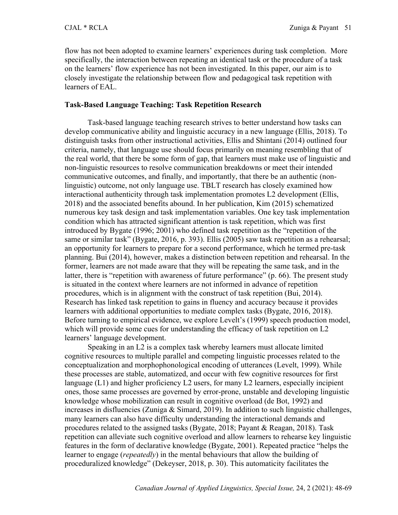flow has not been adopted to examine learners' experiences during task completion. More specifically, the interaction between repeating an identical task or the procedure of a task on the learners' flow experience has not been investigated. In this paper, our aim is to closely investigate the relationship between flow and pedagogical task repetition with learners of EAL.

#### **Task-Based Language Teaching: Task Repetition Research**

Task-based language teaching research strives to better understand how tasks can develop communicative ability and linguistic accuracy in a new language (Ellis, 2018). To distinguish tasks from other instructional activities, Ellis and Shintani (2014) outlined four criteria, namely, that language use should focus primarily on meaning resembling that of the real world, that there be some form of gap, that learners must make use of linguistic and non-linguistic resources to resolve communication breakdowns or meet their intended communicative outcomes, and finally, and importantly, that there be an authentic (nonlinguistic) outcome, not only language use. TBLT research has closely examined how interactional authenticity through task implementation promotes L2 development (Ellis, 2018) and the associated benefits abound. In her publication, Kim (2015) schematized numerous key task design and task implementation variables. One key task implementation condition which has attracted significant attention is task repetition, which was first introduced by Bygate (1996; 2001) who defined task repetition as the "repetition of the same or similar task" (Bygate, 2016, p. 393). Ellis (2005) saw task repetition as a rehearsal; an opportunity for learners to prepare for a second performance, which he termed pre-task planning. Bui (2014), however, makes a distinction between repetition and rehearsal. In the former, learners are not made aware that they will be repeating the same task, and in the latter, there is "repetition with awareness of future performance" (p. 66). The present study is situated in the context where learners are not informed in advance of repetition procedures, which is in alignment with the construct of task repetition (Bui, 2014). Research has linked task repetition to gains in fluency and accuracy because it provides learners with additional opportunities to mediate complex tasks (Bygate, 2016, 2018). Before turning to empirical evidence, we explore Levelt's (1999) speech production model, which will provide some cues for understanding the efficacy of task repetition on L2 learners' language development.

Speaking in an L2 is a complex task whereby learners must allocate limited cognitive resources to multiple parallel and competing linguistic processes related to the conceptualization and morphophonological encoding of utterances (Levelt, 1999). While these processes are stable, automatized, and occur with few cognitive resources for first language (L1) and higher proficiency L2 users, for many L2 learners, especially incipient ones, those same processes are governed by error-prone, unstable and developing linguistic knowledge whose mobilization can result in cognitive overload (de Bot, 1992) and increases in disfluencies (Zuniga & Simard, 2019). In addition to such linguistic challenges, many learners can also have difficulty understanding the interactional demands and procedures related to the assigned tasks (Bygate, 2018; Payant & Reagan, 2018). Task repetition can alleviate such cognitive overload and allow learners to rehearse key linguistic features in the form of declarative knowledge (Bygate, 2001). Repeated practice "helps the learner to engage (*repeatedly*) in the mental behaviours that allow the building of proceduralized knowledge" (Dekeyser, 2018, p. 30). This automaticity facilitates the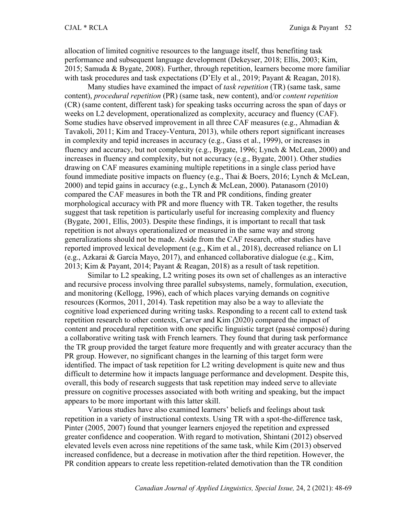allocation of limited cognitive resources to the language itself, thus benefiting task performance and subsequent language development (Dekeyser, 2018; Ellis, 2003; Kim, 2015; Samuda & Bygate, 2008). Further, through repetition, learners become more familiar with task procedures and task expectations (D'Ely et al., 2019; Payant & Reagan, 2018).

Many studies have examined the impact of *task repetition* (TR) (same task, same content), *procedural repetition* (PR) (same task, new content), and/or *content repetition* (CR) (same content, different task) for speaking tasks occurring across the span of days or weeks on L2 development, operationalized as complexity, accuracy and fluency (CAF). Some studies have observed improvement in all three CAF measures (e.g., Ahmadian & Tavakoli, 2011; Kim and Tracey-Ventura, 2013), while others report significant increases in complexity and tepid increases in accuracy (e.g., Gass et al., 1999), or increases in fluency and accuracy, but not complexity (e.g., Bygate, 1996; Lynch & McLean, 2000) and increases in fluency and complexity, but not accuracy (e.g., Bygate, 2001). Other studies drawing on CAF measures examining multiple repetitions in a single class period have found immediate positive impacts on fluency (e.g., Thai & Boers, 2016; Lynch & McLean, 2000) and tepid gains in accuracy (e.g., Lynch & McLean, 2000). Patanasorn (2010) compared the CAF measures in both the TR and PR conditions, finding greater morphological accuracy with PR and more fluency with TR. Taken together, the results suggest that task repetition is particularly useful for increasing complexity and fluency (Bygate, 2001, Ellis, 2003). Despite these findings, it is important to recall that task repetition is not always operationalized or measured in the same way and strong generalizations should not be made. Aside from the CAF research, other studies have reported improved lexical development (e.g., Kim et al., 2018), decreased reliance on L1 (e.g., Azkarai & García Mayo, 2017), and enhanced collaborative dialogue (e.g., Kim, 2013; Kim & Payant, 2014; Payant & Reagan, 2018) as a result of task repetition.

Similar to L2 speaking, L2 writing poses its own set of challenges as an interactive and recursive process involving three parallel subsystems, namely, formulation, execution, and monitoring (Kellogg, 1996), each of which places varying demands on cognitive resources (Kormos, 2011, 2014). Task repetition may also be a way to alleviate the cognitive load experienced during writing tasks. Responding to a recent call to extend task repetition research to other contexts, Carver and Kim (2020) compared the impact of content and procedural repetition with one specific linguistic target (passé composé) during a collaborative writing task with French learners. They found that during task performance the TR group provided the target feature more frequently and with greater accuracy than the PR group. However, no significant changes in the learning of this target form were identified. The impact of task repetition for L2 writing development is quite new and thus difficult to determine how it impacts language performance and development. Despite this, overall, this body of research suggests that task repetition may indeed serve to alleviate pressure on cognitive processes associated with both writing and speaking, but the impact appears to be more important with this latter skill.

Various studies have also examined learners' beliefs and feelings about task repetition in a variety of instructional contexts. Using TR with a spot-the-difference task, Pinter (2005, 2007) found that younger learners enjoyed the repetition and expressed greater confidence and cooperation. With regard to motivation, Shintani (2012) observed elevated levels even across nine repetitions of the same task, while Kim (2013) observed increased confidence, but a decrease in motivation after the third repetition. However, the PR condition appears to create less repetition-related demotivation than the TR condition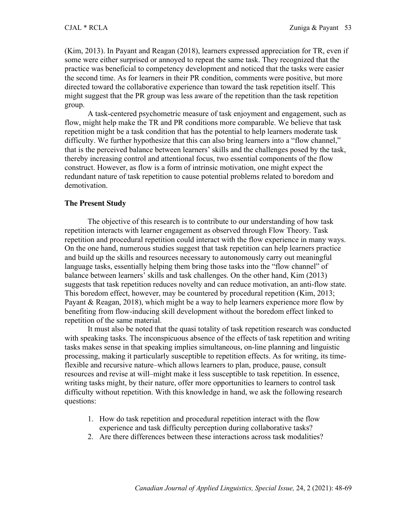(Kim, 2013). In Payant and Reagan (2018), learners expressed appreciation for TR, even if some were either surprised or annoyed to repeat the same task. They recognized that the practice was beneficial to competency development and noticed that the tasks were easier the second time. As for learners in their PR condition, comments were positive, but more directed toward the collaborative experience than toward the task repetition itself. This might suggest that the PR group was less aware of the repetition than the task repetition group.

A task-centered psychometric measure of task enjoyment and engagement, such as flow, might help make the TR and PR conditions more comparable. We believe that task repetition might be a task condition that has the potential to help learners moderate task difficulty. We further hypothesize that this can also bring learners into a "flow channel," that is the perceived balance between learners' skills and the challenges posed by the task, thereby increasing control and attentional focus, two essential components of the flow construct. However, as flow is a form of intrinsic motivation, one might expect the redundant nature of task repetition to cause potential problems related to boredom and demotivation.

### **The Present Study**

The objective of this research is to contribute to our understanding of how task repetition interacts with learner engagement as observed through Flow Theory. Task repetition and procedural repetition could interact with the flow experience in many ways. On the one hand, numerous studies suggest that task repetition can help learners practice and build up the skills and resources necessary to autonomously carry out meaningful language tasks, essentially helping them bring those tasks into the "flow channel" of balance between learners' skills and task challenges. On the other hand, Kim (2013) suggests that task repetition reduces novelty and can reduce motivation, an anti-flow state. This boredom effect, however, may be countered by procedural repetition (Kim, 2013; Payant & Reagan, 2018), which might be a way to help learners experience more flow by benefiting from flow-inducing skill development without the boredom effect linked to repetition of the same material.

It must also be noted that the quasi totality of task repetition research was conducted with speaking tasks. The inconspicuous absence of the effects of task repetition and writing tasks makes sense in that speaking implies simultaneous, on-line planning and linguistic processing, making it particularly susceptible to repetition effects. As for writing, its timeflexible and recursive nature–which allows learners to plan, produce, pause, consult resources and revise at will–might make it less susceptible to task repetition. In essence, writing tasks might, by their nature, offer more opportunities to learners to control task difficulty without repetition. With this knowledge in hand, we ask the following research questions:

- 1. How do task repetition and procedural repetition interact with the flow experience and task difficulty perception during collaborative tasks?
- 2. Are there differences between these interactions across task modalities?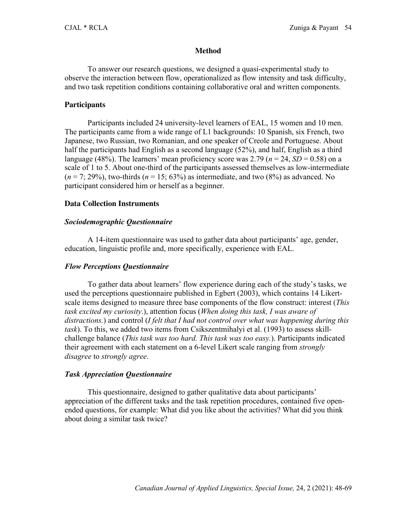### **Method**

To answer our research questions, we designed a quasi-experimental study to observe the interaction between flow, operationalized as flow intensity and task difficulty, and two task repetition conditions containing collaborative oral and written components.

### **Participants**

Participants included 24 university-level learners of EAL, 15 women and 10 men. The participants came from a wide range of L1 backgrounds: 10 Spanish, six French, two Japanese, two Russian, two Romanian, and one speaker of Creole and Portuguese. About half the participants had English as a second language (52%), and half, English as a third language (48%). The learners' mean proficiency score was 2.79 ( $n = 24$ ,  $SD = 0.58$ ) on a scale of 1 to 5. About one-third of the participants assessed themselves as low-intermediate  $(n = 7, 29\%)$ , two-thirds  $(n = 15, 63\%)$  as intermediate, and two  $(8\%)$  as advanced. No participant considered him or herself as a beginner.

### **Data Collection Instruments**

## *Sociodemographic Questionnaire*

A 14-item questionnaire was used to gather data about participants' age, gender, education, linguistic profile and, more specifically, experience with EAL.

## *Flow Perceptions Questionnaire*

To gather data about learners' flow experience during each of the study's tasks, we used the perceptions questionnaire published in Egbert (2003), which contains 14 Likertscale items designed to measure three base components of the flow construct: interest (*This task excited my curiosity*.), attention focus (*When doing this task, I was aware of distractions.*) and control (*I felt that I had not control over what was happening during this task*). To this, we added two items from Csikszentmihalyi et al. (1993) to assess skillchallenge balance (*This task was too hard. This task was too easy.*). Participants indicated their agreement with each statement on a 6-level Likert scale ranging from *strongly disagree* to *strongly agree*.

### *Task Appreciation Questionnaire*

This questionnaire, designed to gather qualitative data about participants' appreciation of the different tasks and the task repetition procedures, contained five openended questions, for example: What did you like about the activities? What did you think about doing a similar task twice?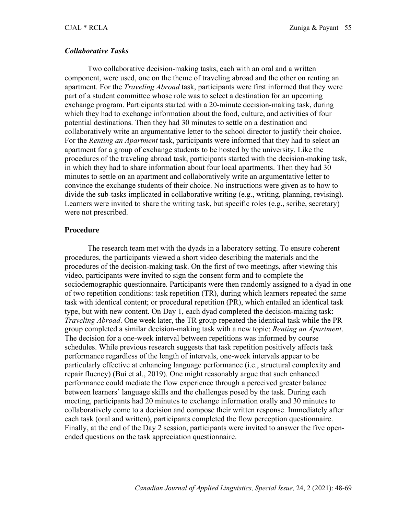#### *Collaborative Tasks*

Two collaborative decision-making tasks, each with an oral and a written component, were used, one on the theme of traveling abroad and the other on renting an apartment. For the *Traveling Abroad* task, participants were first informed that they were part of a student committee whose role was to select a destination for an upcoming exchange program. Participants started with a 20-minute decision-making task, during which they had to exchange information about the food, culture, and activities of four potential destinations. Then they had 30 minutes to settle on a destination and collaboratively write an argumentative letter to the school director to justify their choice. For the *Renting an Apartment* task, participants were informed that they had to select an apartment for a group of exchange students to be hosted by the university. Like the procedures of the traveling abroad task, participants started with the decision-making task, in which they had to share information about four local apartments. Then they had 30 minutes to settle on an apartment and collaboratively write an argumentative letter to convince the exchange students of their choice. No instructions were given as to how to divide the sub-tasks implicated in collaborative writing (e.g., writing, planning, revising). Learners were invited to share the writing task, but specific roles (e.g., scribe, secretary) were not prescribed.

#### **Procedure**

The research team met with the dyads in a laboratory setting. To ensure coherent procedures, the participants viewed a short video describing the materials and the procedures of the decision-making task. On the first of two meetings, after viewing this video, participants were invited to sign the consent form and to complete the sociodemographic questionnaire. Participants were then randomly assigned to a dyad in one of two repetition conditions: task repetition (TR), during which learners repeated the same task with identical content; or procedural repetition (PR), which entailed an identical task type, but with new content. On Day 1, each dyad completed the decision-making task: *Traveling Abroad*. One week later, the TR group repeated the identical task while the PR group completed a similar decision-making task with a new topic: *Renting an Apartment*. The decision for a one-week interval between repetitions was informed by course schedules. While previous research suggests that task repetition positively affects task performance regardless of the length of intervals, one-week intervals appear to be particularly effective at enhancing language performance (i.e., structural complexity and repair fluency) (Bui et al., 2019). One might reasonably argue that such enhanced performance could mediate the flow experience through a perceived greater balance between learners' language skills and the challenges posed by the task. During each meeting, participants had 20 minutes to exchange information orally and 30 minutes to collaboratively come to a decision and compose their written response. Immediately after each task (oral and written), participants completed the flow perception questionnaire. Finally, at the end of the Day 2 session, participants were invited to answer the five openended questions on the task appreciation questionnaire.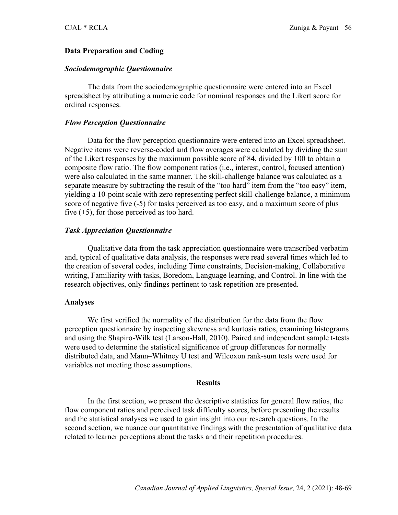### **Data Preparation and Coding**

### *Sociodemographic Questionnaire*

The data from the sociodemographic questionnaire were entered into an Excel spreadsheet by attributing a numeric code for nominal responses and the Likert score for ordinal responses.

### *Flow Perception Questionnaire*

Data for the flow perception questionnaire were entered into an Excel spreadsheet. Negative items were reverse-coded and flow averages were calculated by dividing the sum of the Likert responses by the maximum possible score of 84, divided by 100 to obtain a composite flow ratio. The flow component ratios (i.e., interest, control, focused attention) were also calculated in the same manner. The skill-challenge balance was calculated as a separate measure by subtracting the result of the "too hard" item from the "too easy" item, yielding a 10-point scale with zero representing perfect skill-challenge balance, a minimum score of negative five (-5) for tasks perceived as too easy, and a maximum score of plus five  $(+5)$ , for those perceived as too hard.

### *Task Appreciation Questionnaire*

Qualitative data from the task appreciation questionnaire were transcribed verbatim and, typical of qualitative data analysis, the responses were read several times which led to the creation of several codes, including Time constraints, Decision-making, Collaborative writing, Familiarity with tasks, Boredom, Language learning, and Control. In line with the research objectives, only findings pertinent to task repetition are presented.

#### **Analyses**

We first verified the normality of the distribution for the data from the flow perception questionnaire by inspecting skewness and kurtosis ratios, examining histograms and using the Shapiro-Wilk test (Larson-Hall, 2010). Paired and independent sample t-tests were used to determine the statistical significance of group differences for normally distributed data, and Mann–Whitney U test and Wilcoxon rank-sum tests were used for variables not meeting those assumptions.

#### **Results**

In the first section, we present the descriptive statistics for general flow ratios, the flow component ratios and perceived task difficulty scores, before presenting the results and the statistical analyses we used to gain insight into our research questions. In the second section, we nuance our quantitative findings with the presentation of qualitative data related to learner perceptions about the tasks and their repetition procedures.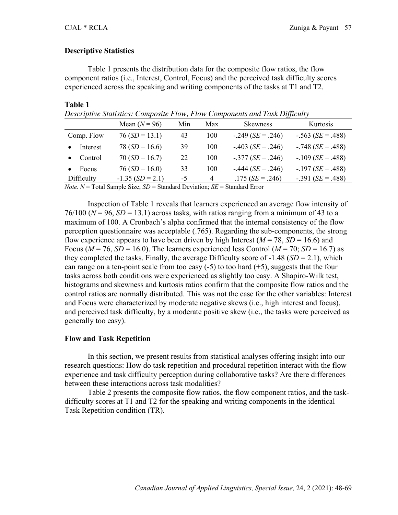### **Descriptive Statistics**

Table 1 presents the distribution data for the composite flow ratios, the flow component ratios (i.e., Interest, Control, Focus) and the perceived task difficulty scores experienced across the speaking and writing components of the tasks at T1 and T2.

#### **Table 1**

*Descriptive Statistics: Composite Flow, Flow Components and Task Difficulty*

|            | Mean $(N = 96)$   | Min  | Max | <b>Skewness</b>             | Kurtosis                    |
|------------|-------------------|------|-----|-----------------------------|-----------------------------|
| Comp. Flow | $76(SD = 13.1)$   | 43   | 100 | $-.249$ ( <i>SE</i> = .246) | $-.563$ ( <i>SE</i> = .488) |
| Interest   | $78(SD = 16.6)$   | 39   | 100 | $-.403$ ( <i>SE</i> = .246) | $-.748$ ( <i>SE</i> = .488) |
| Control    | $70(SD = 16.7)$   | 22   | 100 | $-.377$ (SE = .246)         | $-.109$ ( <i>SE</i> = .488) |
| Focus      | $76(SD = 16.0)$   | 33   | 100 | $-.444$ ( <i>SE</i> = .246) | $-.197$ ( <i>SE</i> = .488) |
| Difficulty | $-1.35(SD = 2.1)$ | $-5$ | 4   | $.175(SE = .246)$           | $-.391$ ( <i>SE</i> = .488) |

*Note. N* = Total Sample Size; *SD* = Standard Deviation; *SE* = Standard Error

Inspection of Table 1 reveals that learners experienced an average flow intensity of 76/100 ( $N = 96$ ,  $SD = 13.1$ ) across tasks, with ratios ranging from a minimum of 43 to a maximum of 100. A Cronbach's alpha confirmed that the internal consistency of the flow perception questionnaire was acceptable (.765). Regarding the sub-components, the strong flow experience appears to have been driven by high Interest ( $M = 78$ ,  $SD = 16.6$ ) and Focus ( $M = 76$ ,  $SD = 16.0$ ). The learners experienced less Control ( $M = 70$ ;  $SD = 16.7$ ) as they completed the tasks. Finally, the average Difficulty score of  $-1.48$  (*SD* = 2.1), which can range on a ten-point scale from too easy  $(-5)$  to too hard  $(+5)$ , suggests that the four tasks across both conditions were experienced as slightly too easy. A Shapiro-Wilk test, histograms and skewness and kurtosis ratios confirm that the composite flow ratios and the control ratios are normally distributed. This was not the case for the other variables: Interest and Focus were characterized by moderate negative skews (i.e., high interest and focus), and perceived task difficulty, by a moderate positive skew (i.e., the tasks were perceived as generally too easy).

### **Flow and Task Repetition**

In this section, we present results from statistical analyses offering insight into our research questions: How do task repetition and procedural repetition interact with the flow experience and task difficulty perception during collaborative tasks? Are there differences between these interactions across task modalities?

Table 2 presents the composite flow ratios, the flow component ratios, and the taskdifficulty scores at T1 and T2 for the speaking and writing components in the identical Task Repetition condition (TR).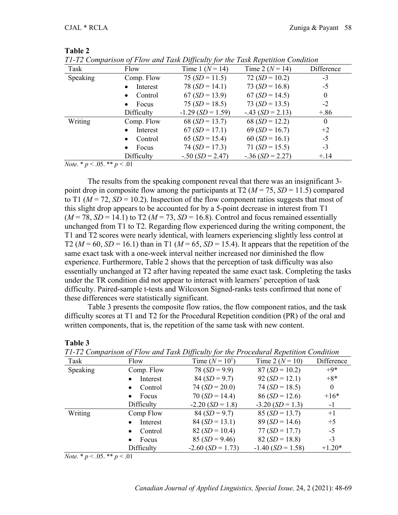**Table 2**

| 11-12 Comparison of Flow and Task Difficulty for the Task Repetition Condition                           |                       |                     |                     |            |  |  |  |
|----------------------------------------------------------------------------------------------------------|-----------------------|---------------------|---------------------|------------|--|--|--|
| Task                                                                                                     | Flow                  | Time 1 ( $N = 14$ ) | Time 2 ( $N = 14$ ) | Difference |  |  |  |
| Speaking                                                                                                 | Comp. Flow            | $75(SD = 11.5)$     | $72(SD = 10.2)$     | $-3$       |  |  |  |
|                                                                                                          | Interest<br>$\bullet$ | $78(SD = 14.1)$     | 73 $(SD = 16.8)$    | $-5$       |  |  |  |
|                                                                                                          | Control<br>$\bullet$  | $67(SD = 13.9)$     | $67(SD = 14.5)$     | $\theta$   |  |  |  |
|                                                                                                          | Focus<br>$\bullet$    | $75(SD = 18.5)$     | 73 $(SD = 13.5)$    | $-2$       |  |  |  |
|                                                                                                          | Difficulty            | $-1.29(SD = 1.59)$  | $-.43$ (SD = 2.13)  | $+.86$     |  |  |  |
| Writing                                                                                                  | Comp. Flow            | 68 $(SD = 13.7)$    | 68 $(SD = 12.2)$    | $\theta$   |  |  |  |
|                                                                                                          | Interest<br>$\bullet$ | $67(SD = 17.1)$     | 69 ( $SD = 16.7$ )  | $+2$       |  |  |  |
|                                                                                                          | Control<br>$\bullet$  | 65 ( $SD = 15.4$ )  | $60(SD = 16.1)$     | $-5$       |  |  |  |
|                                                                                                          | Focus<br>$\bullet$    | $74(SD = 17.3)$     | 71 $(SD = 15.5)$    | $-3$       |  |  |  |
|                                                                                                          | Difficulty            | $-.50$ (SD = 2.47)  | $-.36(SD = 2.27)$   | $+.14$     |  |  |  |
| $\mathbf{r}$ , and $\mathbf{r}$ are the set of $\mathbf{r}$<br>$\sim$ $\sim$ $\sim$ $\sim$ $\sim$ $\sim$ |                       |                     |                     |            |  |  |  |

*T1-T2 Comparison of Flow and Task Difficulty for the Task Repetition Condition*

*Note*. \* *p* < .05. \*\* *p* < .01

The results from the speaking component reveal that there was an insignificant 3 point drop in composite flow among the participants at T2 ( $M = 75$ ,  $SD = 11.5$ ) compared to T1 ( $M = 72$ ,  $SD = 10.2$ ). Inspection of the flow component ratios suggests that most of this slight drop appears to be accounted for by a 5-point decrease in interest from T1  $(M = 78, SD = 14.1)$  to T2  $(M = 73, SD = 16.8)$ . Control and focus remained essentially unchanged from T1 to T2. Regarding flow experienced during the writing component, the T1 and T2 scores were nearly identical, with learners experiencing slightly less control at T2 ( $M = 60$ ,  $SD = 16.1$ ) than in T1 ( $M = 65$ ,  $SD = 15.4$ ). It appears that the repetition of the same exact task with a one-week interval neither increased nor diminished the flow experience. Furthermore, Table 2 shows that the perception of task difficulty was also essentially unchanged at T2 after having repeated the same exact task. Completing the tasks under the TR condition did not appear to interact with learners' perception of task difficulty. Paired-sample t-tests and Wilcoxon Signed-ranks tests confirmed that none of these differences were statistically significant.

Table 3 presents the composite flow ratios, the flow component ratios, and the task difficulty scores at T1 and T2 for the Procedural Repetition condition (PR) of the oral and written components, that is, the repetition of the same task with new content.

| T1-T2 Comparison of Flow and Task Difficulty for the Procedural Repetition Condition |                       |                     |                     |              |  |  |  |
|--------------------------------------------------------------------------------------|-----------------------|---------------------|---------------------|--------------|--|--|--|
| Task                                                                                 | Flow                  | Time $(N = 10^1)$   | Time 2 ( $N = 10$ ) | Difference   |  |  |  |
| Speaking                                                                             | Comp. Flow            | 78 $(SD = 9.9)$     | $87(SD = 10.2)$     | $+9*$        |  |  |  |
|                                                                                      | Interest              | $84(SD = 9.7)$      | $92(SD = 12.1)$     | $+8*$        |  |  |  |
|                                                                                      | Control<br>$\bullet$  | $74(SD = 20.0)$     | $74(SD = 18.5)$     | $\mathbf{0}$ |  |  |  |
|                                                                                      | Focus<br>$\bullet$    | $70(SD = 14.4)$     | $86(SD = 12.6)$     | $+16*$       |  |  |  |
|                                                                                      | Difficulty            | $-2.20$ (SD = 1.8)  | $-3.20$ (SD = 1.3)  | $-1$         |  |  |  |
| Writing                                                                              | Comp Flow             | $84(SD = 9.7)$      | $85(SD = 13.7)$     | $+1$         |  |  |  |
|                                                                                      | Interest<br>$\bullet$ | $84(SD = 13.1)$     | $89(SD = 14.6)$     | $+5$         |  |  |  |
|                                                                                      | Control<br>$\bullet$  | $82(SD = 10.4)$     | $77(SD = 17.7)$     | $-5$         |  |  |  |
|                                                                                      | Focus<br>$\bullet$    | $85(SD = 9.46)$     | $82(SD = 18.8)$     | $-3$         |  |  |  |
|                                                                                      | Difficulty            | $-2.60$ (SD = 1.73) | $-1.40$ (SD = 1.58) | $+1.20*$     |  |  |  |

**Table 3**

*Note*. \* *p* < .05. \*\* *p* < .01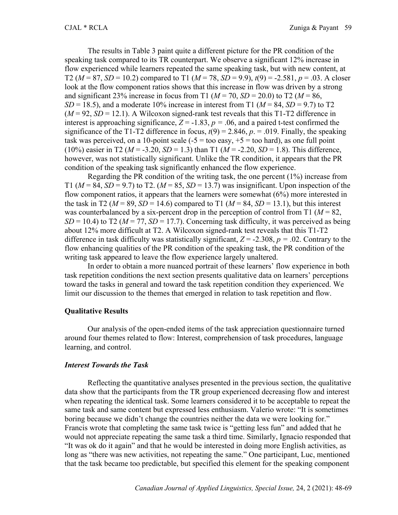The results in Table 3 paint quite a different picture for the PR condition of the speaking task compared to its TR counterpart. We observe a significant 12% increase in flow experienced while learners repeated the same speaking task, but with new content, at T2 ( $M = 87$ ,  $SD = 10.2$ ) compared to T1 ( $M = 78$ ,  $SD = 9.9$ ),  $t(9) = -2.581$ ,  $p = .03$ . A closer look at the flow component ratios shows that this increase in flow was driven by a strong and significant 23% increase in focus from T1 ( $M = 70$ ,  $SD = 20.0$ ) to T2 ( $M = 86$ ,  $SD = 18.5$ ), and a moderate 10% increase in interest from T1 ( $M = 84$ ,  $SD = 9.7$ ) to T2  $(M = 92, SD = 12.1)$ . A Wilcoxon signed-rank test reveals that this T1-T2 difference in interest is approaching significance,  $Z = -1.83$ ,  $p = .06$ , and a paired t-test confirmed the significance of the T1-T2 difference in focus,  $t(9) = 2.846$ ,  $p = 0.019$ . Finally, the speaking task was perceived, on a 10-point scale  $(-5 = \text{too easy}, +5 = \text{too hard})$ , as one full point (10%) easier in T2 ( $M = -3.20$ ,  $SD = 1.3$ ) than T1 ( $M = -2.20$ ,  $SD = 1.8$ ). This difference, however, was not statistically significant. Unlike the TR condition, it appears that the PR condition of the speaking task significantly enhanced the flow experience.

Regarding the PR condition of the writing task, the one percent  $(1\%)$  increase from T1 ( $M = 84$ ,  $SD = 9.7$ ) to T2. ( $M = 85$ ,  $SD = 13.7$ ) was insignificant. Upon inspection of the flow component ratios, it appears that the learners were somewhat (6%) more interested in the task in T2 ( $M = 89$ ,  $SD = 14.6$ ) compared to T1 ( $M = 84$ ,  $SD = 13.1$ ), but this interest was counterbalanced by a six-percent drop in the perception of control from T1 ( $M = 82$ ,  $SD = 10.4$ ) to T2 ( $M = 77$ ,  $SD = 17.7$ ). Concerning task difficulty, it was perceived as being about 12% more difficult at T2. A Wilcoxon signed-rank test reveals that this T1-T2 difference in task difficulty was statistically significant,  $Z = -2.308$ ,  $p = .02$ . Contrary to the flow enhancing qualities of the PR condition of the speaking task, the PR condition of the writing task appeared to leave the flow experience largely unaltered.

In order to obtain a more nuanced portrait of these learners' flow experience in both task repetition conditions the next section presents qualitative data on learners' perceptions toward the tasks in general and toward the task repetition condition they experienced. We limit our discussion to the themes that emerged in relation to task repetition and flow.

#### **Qualitative Results**

Our analysis of the open-ended items of the task appreciation questionnaire turned around four themes related to flow: Interest, comprehension of task procedures, language learning, and control.

### *Interest Towards the Task*

Reflecting the quantitative analyses presented in the previous section, the qualitative data show that the participants from the TR group experienced decreasing flow and interest when repeating the identical task. Some learners considered it to be acceptable to repeat the same task and same content but expressed less enthusiasm. Valerio wrote: "It is sometimes boring because we didn't change the countries neither the data we were looking for." Francis wrote that completing the same task twice is "getting less fun" and added that he would not appreciate repeating the same task a third time. Similarly, Ignacio responded that "It was ok do it again" and that he would be interested in doing more English activities, as long as "there was new activities, not repeating the same." One participant, Luc, mentioned that the task became too predictable, but specified this element for the speaking component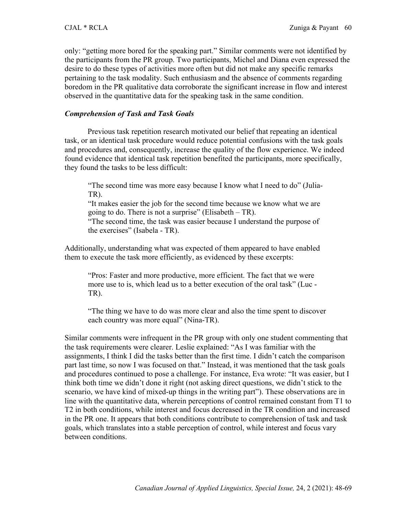only: "getting more bored for the speaking part." Similar comments were not identified by the participants from the PR group. Two participants, Michel and Diana even expressed the desire to do these types of activities more often but did not make any specific remarks pertaining to the task modality. Such enthusiasm and the absence of comments regarding boredom in the PR qualitative data corroborate the significant increase in flow and interest observed in the quantitative data for the speaking task in the same condition.

### *Comprehension of Task and Task Goals*

Previous task repetition research motivated our belief that repeating an identical task, or an identical task procedure would reduce potential confusions with the task goals and procedures and, consequently, increase the quality of the flow experience. We indeed found evidence that identical task repetition benefited the participants, more specifically, they found the tasks to be less difficult:

"The second time was more easy because I know what I need to do" (Julia-TR).

"It makes easier the job for the second time because we know what we are going to do. There is not a surprise" (Elisabeth  $- TR$ ).

"The second time, the task was easier because I understand the purpose of the exercises" (Isabela - TR).

Additionally, understanding what was expected of them appeared to have enabled them to execute the task more efficiently, as evidenced by these excerpts:

"Pros: Faster and more productive, more efficient. The fact that we were more use to is, which lead us to a better execution of the oral task" (Luc - TR).

"The thing we have to do was more clear and also the time spent to discover each country was more equal" (Nina-TR).

Similar comments were infrequent in the PR group with only one student commenting that the task requirements were clearer. Leslie explained: "As I was familiar with the assignments, I think I did the tasks better than the first time. I didn't catch the comparison part last time, so now I was focused on that." Instead, it was mentioned that the task goals and procedures continued to pose a challenge. For instance, Eva wrote: "It was easier, but I think both time we didn't done it right (not asking direct questions, we didn't stick to the scenario, we have kind of mixed-up things in the writing part"). These observations are in line with the quantitative data, wherein perceptions of control remained constant from T1 to T2 in both conditions, while interest and focus decreased in the TR condition and increased in the PR one. It appears that both conditions contribute to comprehension of task and task goals, which translates into a stable perception of control, while interest and focus vary between conditions.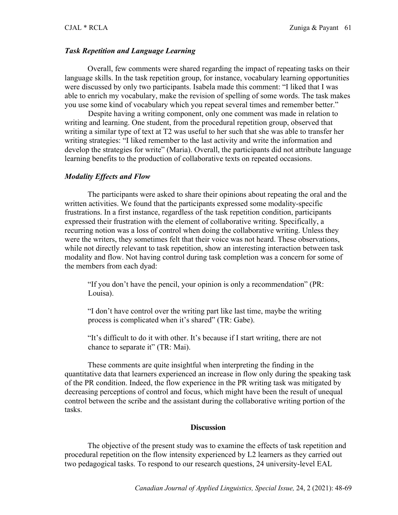#### *Task Repetition and Language Learning*

Overall, few comments were shared regarding the impact of repeating tasks on their language skills. In the task repetition group, for instance, vocabulary learning opportunities were discussed by only two participants. Isabela made this comment: "I liked that I was able to enrich my vocabulary, make the revision of spelling of some words. The task makes you use some kind of vocabulary which you repeat several times and remember better."

Despite having a writing component, only one comment was made in relation to writing and learning. One student, from the procedural repetition group, observed that writing a similar type of text at T2 was useful to her such that she was able to transfer her writing strategies: "I liked remember to the last activity and write the information and develop the strategies for write" (Maria). Overall, the participants did not attribute language learning benefits to the production of collaborative texts on repeated occasions.

#### *Modality Effects and Flow*

The participants were asked to share their opinions about repeating the oral and the written activities. We found that the participants expressed some modality-specific frustrations. In a first instance, regardless of the task repetition condition, participants expressed their frustration with the element of collaborative writing. Specifically, a recurring notion was a loss of control when doing the collaborative writing. Unless they were the writers, they sometimes felt that their voice was not heard. These observations, while not directly relevant to task repetition, show an interesting interaction between task modality and flow. Not having control during task completion was a concern for some of the members from each dyad:

"If you don't have the pencil, your opinion is only a recommendation" (PR: Louisa).

"I don't have control over the writing part like last time, maybe the writing process is complicated when it's shared" (TR: Gabe).

"It's difficult to do it with other. It's because if I start writing, there are not chance to separate it" (TR: Mai).

These comments are quite insightful when interpreting the finding in the quantitative data that learners experienced an increase in flow only during the speaking task of the PR condition. Indeed, the flow experience in the PR writing task was mitigated by decreasing perceptions of control and focus, which might have been the result of unequal control between the scribe and the assistant during the collaborative writing portion of the tasks.

#### **Discussion**

The objective of the present study was to examine the effects of task repetition and procedural repetition on the flow intensity experienced by L2 learners as they carried out two pedagogical tasks. To respond to our research questions, 24 university-level EAL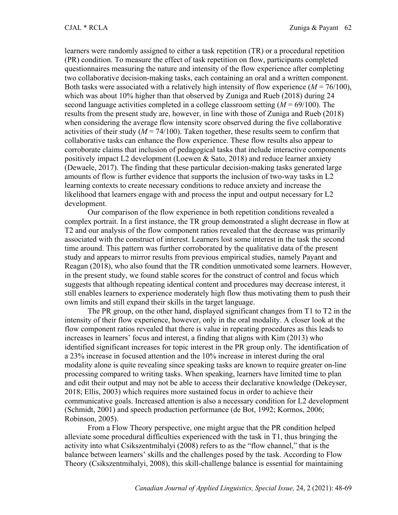learners were randomly assigned to either a task repetition (TR) or a procedural repetition (PR) condition. To measure the effect of task repetition on flow, participants completed questionnaires measuring the nature and intensity of the flow experience after completing two collaborative decision-making tasks, each containing an oral and a written component. Both tasks were associated with a relatively high intensity of flow experience  $(M = 76/100)$ , which was about 10% higher than that observed by Zuniga and Rueb (2018) during 24 second language activities completed in a college classroom setting (*M* = 69/100). The results from the present study are, however, in line with those of Zuniga and Rueb (2018) when considering the average flow intensity score observed during the five collaborative activities of their study  $(M = 74/100)$ . Taken together, these results seem to confirm that collaborative tasks can enhance the flow experience. These flow results also appear to corroborate claims that inclusion of pedagogical tasks that include interactive components positively impact L2 development (Loewen & Sato, 2018) and reduce learner anxiety (Dewaele, 2017). The finding that these particular decision-making tasks generated large amounts of flow is further evidence that supports the inclusion of two-way tasks in L2 learning contexts to create necessary conditions to reduce anxiety and increase the likelihood that learners engage with and process the input and output necessary for L2 development.

Our comparison of the flow experience in both repetition conditions revealed a complex portrait. In a first instance, the TR group demonstrated a slight decrease in flow at T2 and our analysis of the flow component ratios revealed that the decrease was primarily associated with the construct of interest. Learners lost some interest in the task the second time around. This pattern was further corroborated by the qualitative data of the present study and appears to mirror results from previous empirical studies, namely Payant and Reagan (2018), who also found that the TR condition unmotivated some learners. However, in the present study, we found stable scores for the construct of control and focus which suggests that although repeating identical content and procedures may decrease interest, it still enables learners to experience moderately high flow thus motivating them to push their own limits and still expand their skills in the target language.

The PR group, on the other hand, displayed significant changes from T1 to T2 in the intensity of their flow experience, however, only in the oral modality. A closer look at the flow component ratios revealed that there is value in repeating procedures as this leads to increases in learners' focus and interest, a finding that aligns with Kim (2013) who identified significant increases for topic interest in the PR group only. The identification of a 23% increase in focused attention and the 10% increase in interest during the oral modality alone is quite revealing since speaking tasks are known to require greater on-line processing compared to writing tasks. When speaking, learners have limited time to plan and edit their output and may not be able to access their declarative knowledge (Dekeyser, 2018; Ellis, 2003) which requires more sustained focus in order to achieve their communicative goals. Increased attention is also a necessary condition for L2 development (Schmidt, 2001) and speech production performance (de Bot, 1992; Kormos, 2006; Robinson, 2005).

From a Flow Theory perspective, one might argue that the PR condition helped alleviate some procedural difficulties experienced with the task in T1, thus bringing the activity into what Csikszentmihalyi (2008) refers to as the "flow channel," that is the balance between learners' skills and the challenges posed by the task. According to Flow Theory (Csikszentmihalyi, 2008), this skill-challenge balance is essential for maintaining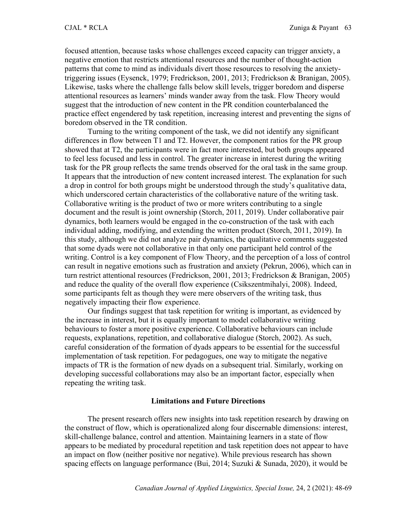focused attention, because tasks whose challenges exceed capacity can trigger anxiety, a negative emotion that restricts attentional resources and the number of thought-action patterns that come to mind as individuals divert those resources to resolving the anxietytriggering issues (Eysenck, 1979; Fredrickson, 2001, 2013; Fredrickson & Branigan, 2005). Likewise, tasks where the challenge falls below skill levels, trigger boredom and disperse attentional resources as learners' minds wander away from the task. Flow Theory would suggest that the introduction of new content in the PR condition counterbalanced the practice effect engendered by task repetition, increasing interest and preventing the signs of boredom observed in the TR condition.

Turning to the writing component of the task, we did not identify any significant differences in flow between T1 and T2. However, the component ratios for the PR group showed that at T2, the participants were in fact more interested, but both groups appeared to feel less focused and less in control. The greater increase in interest during the writing task for the PR group reflects the same trends observed for the oral task in the same group. It appears that the introduction of new content increased interest. The explanation for such a drop in control for both groups might be understood through the study's qualitative data, which underscored certain characteristics of the collaborative nature of the writing task. Collaborative writing is the product of two or more writers contributing to a single document and the result is joint ownership (Storch, 2011, 2019). Under collaborative pair dynamics, both learners would be engaged in the co-construction of the task with each individual adding, modifying, and extending the written product (Storch, 2011, 2019). In this study, although we did not analyze pair dynamics, the qualitative comments suggested that some dyads were not collaborative in that only one participant held control of the writing. Control is a key component of Flow Theory, and the perception of a loss of control can result in negative emotions such as frustration and anxiety (Pekrun, 2006), which can in turn restrict attentional resources (Fredrickson, 2001, 2013; Fredrickson & Branigan, 2005) and reduce the quality of the overall flow experience (Csikszentmihalyi, 2008). Indeed, some participants felt as though they were mere observers of the writing task, thus negatively impacting their flow experience.

Our findings suggest that task repetition for writing is important, as evidenced by the increase in interest, but it is equally important to model collaborative writing behaviours to foster a more positive experience. Collaborative behaviours can include requests, explanations, repetition, and collaborative dialogue (Storch, 2002). As such, careful consideration of the formation of dyads appears to be essential for the successful implementation of task repetition. For pedagogues, one way to mitigate the negative impacts of TR is the formation of new dyads on a subsequent trial. Similarly, working on developing successful collaborations may also be an important factor, especially when repeating the writing task.

### **Limitations and Future Directions**

The present research offers new insights into task repetition research by drawing on the construct of flow, which is operationalized along four discernable dimensions: interest, skill-challenge balance, control and attention. Maintaining learners in a state of flow appears to be mediated by procedural repetition and task repetition does not appear to have an impact on flow (neither positive nor negative). While previous research has shown spacing effects on language performance (Bui, 2014; Suzuki & Sunada, 2020), it would be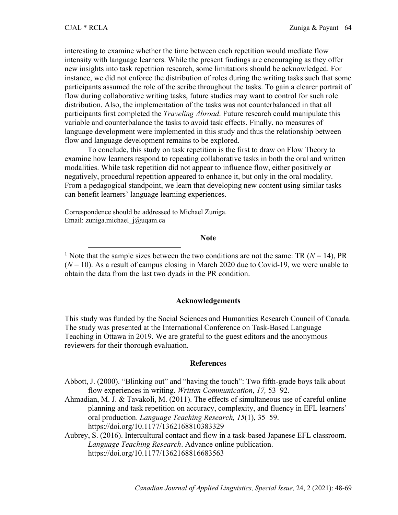interesting to examine whether the time between each repetition would mediate flow intensity with language learners. While the present findings are encouraging as they offer new insights into task repetition research, some limitations should be acknowledged. For instance, we did not enforce the distribution of roles during the writing tasks such that some participants assumed the role of the scribe throughout the tasks. To gain a clearer portrait of flow during collaborative writing tasks, future studies may want to control for such role distribution. Also, the implementation of the tasks was not counterbalanced in that all participants first completed the *Traveling Abroad*. Future research could manipulate this variable and counterbalance the tasks to avoid task effects. Finally, no measures of language development were implemented in this study and thus the relationship between flow and language development remains to be explored.

To conclude, this study on task repetition is the first to draw on Flow Theory to examine how learners respond to repeating collaborative tasks in both the oral and written modalities. While task repetition did not appear to influence flow, either positively or negatively, procedural repetition appeared to enhance it, but only in the oral modality. From a pedagogical standpoint, we learn that developing new content using similar tasks can benefit learners' language learning experiences.

Correspondence should be addressed to Michael Zuniga. Email: zuniga.michael\_j@uqam.ca

#### **Note**

<sup>1</sup> Note that the sample sizes between the two conditions are not the same: TR ( $N = 14$ ), PR  $(N = 10)$ . As a result of campus closing in March 2020 due to Covid-19, we were unable to obtain the data from the last two dyads in the PR condition.

#### **Acknowledgements**

This study was funded by the Social Sciences and Humanities Research Council of Canada. The study was presented at the International Conference on Task-Based Language Teaching in Ottawa in 2019. We are grateful to the guest editors and the anonymous reviewers for their thorough evaluation.

#### **References**

- Abbott, J. (2000). "Blinking out" and "having the touch": Two fifth-grade boys talk about flow experiences in writing. *Written Communication*, *17,* 53–92.
- Ahmadian, M. J. & Tavakoli, M. (2011). The effects of simultaneous use of careful online planning and task repetition on accuracy, complexity, and fluency in EFL learners' oral production. *Language Teaching Research, 15*(1), 35–59. https://doi.org/10.1177/1362168810383329
- Aubrey, S. (2016). Intercultural contact and flow in a task-based Japanese EFL classroom. *Language Teaching Research*. Advance online publication. https://doi.org/10.1177/1362168816683563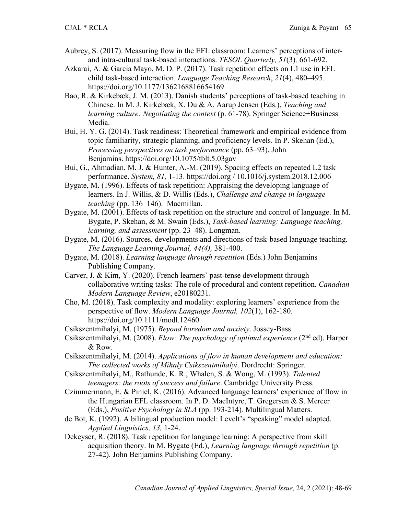- Aubrey, S. (2017). Measuring flow in the EFL classroom: Learners' perceptions of interand intra-cultural task-based interactions. *TESOL Quarterly, 51*(3)*,* 661-692.
- Azkarai, A. & García Mayo, M. D. P. (2017). Task repetition effects on L1 use in EFL child task-based interaction. *Language Teaching Research*, *21*(4), 480–495. https://doi.org/10.1177/1362168816654169
- Bao, R. & Kirkebæk, J. M. (2013). Danish students' perceptions of task-based teaching in Chinese. In M. J. Kirkebæk, X. Du & A. Aarup Jensen (Eds.), *Teaching and learning culture: Negotiating the context* (p. 61-78). Springer Science+Business Media.
- Bui, H. Y. G. (2014). Task readiness: Theoretical framework and empirical evidence from topic familiarity, strategic planning, and proficiency levels. In P. Skehan (Ed.), *Processing perspectives on task performance* (pp. 63–93). John Benjamins. https://doi.org/10.1075/tblt.5.03gav
- Bui, G., Ahmadian, M. J. & Hunter, A.-M. (2019). Spacing effects on repeated L2 task performance. *System, 81,* 1-13. https://doi.org / 10.1016/j.system.2018.12.006
- Bygate, M. (1996). Effects of task repetition: Appraising the developing language of learners. In J. Willis, & D. Willis (Eds.), *Challenge and change in language teaching* (pp. 136–146). Macmillan.
- Bygate, M. (2001). Effects of task repetition on the structure and control of language. In M. Bygate, P. Skehan, & M. Swain (Eds.), *Task-based learning: Language teaching, learning, and assessment* (pp. 23–48). Longman.
- Bygate, M. (2016). Sources, developments and directions of task-based language teaching. *The Language Learning Journal, 44(4),* 381-400.
- Bygate, M. (2018). *Learning language through repetition* (Eds.) John Benjamins Publishing Company.
- Carver, J. & Kim, Y. (2020). French learners' past-tense development through collaborative writing tasks: The role of procedural and content repetition. *Canadian Modern Language Review*, e20180231.
- Cho, M. (2018). Task complexity and modality: exploring learners' experience from the perspective of flow. *Modern Language Journal, 102*(1), 162-180. https://doi.org/10.1111/modl.12460
- Csikszentmihalyi, M. (1975). *Beyond boredom and anxiety*. Jossey-Bass.
- Csikszentmihalyi, M. (2008). *Flow: The psychology of optimal experience* (2nd ed). Harper & Row.
- Csikszentmihalyi, M. (2014). *Applications of flow in human development and education: The collected works of Mihaly Csikszentmihalyi*. Dordrecht: Springer.
- Csikszentmihalyi, M., Rathunde, K. R., Whalen, S. & Wong, M. (1993). *Talented teenagers: the roots of success and failure*. Cambridge University Press.
- Czimmermann, E. & Piniel, K. (2016). Advanced language learners' experience of flow in the Hungarian EFL classroom. In P. D. MacIntyre, T. Gregersen & S. Mercer (Eds.), *Positive Psychology in SLA* (pp. 193-214)*.* Multilingual Matters.
- de Bot, K. (1992). A bilingual production model: Levelt's "speaking" model adapted. *Applied Linguistics, 13,* 1-24.
- Dekeyser, R. (2018). Task repetition for language learning: A perspective from skill acquisition theory. In M. Bygate (Ed.), *Learning language through repetition* (p. 27-42). John Benjamins Publishing Company.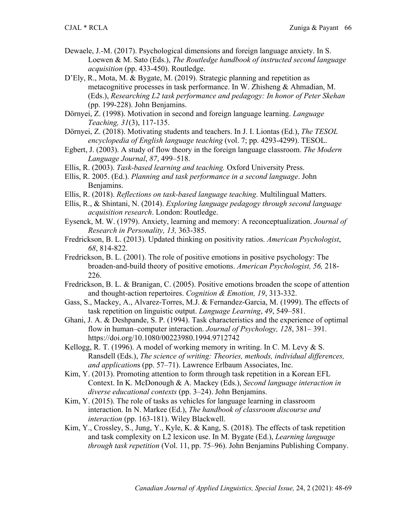- Dewaele, J.-M. (2017). Psychological dimensions and foreign language anxiety. In S. Loewen & M. Sato (Eds.), *The Routledge handbook of instructed second language acquisition* (pp. 433-450). Routledge.
- D'Ely, R., Mota, M. & Bygate, M. (2019). Strategic planning and repetition as metacognitive processes in task performance. In W. Zhisheng & Ahmadian, M. (Eds.), *Researching L2 task performance and pedagogy: In honor of Peter Skehan* (pp. 199-228). John Benjamins.
- Dörnyei, Z. (1998). Motivation in second and foreign language learning. *Language Teaching, 31*(3), 117-135.
- Dörnyei, Z. (2018). Motivating students and teachers. In J. I. Liontas (Ed.), *The TESOL encyclopedia of English language teaching* (vol. 7; pp. 4293-4299). TESOL.
- Egbert, J. (2003). A study of flow theory in the foreign language classroom. *The Modern Language Journal*, *87*, 499–518.
- Ellis, R. (2003). *Task-based learning and teaching.* Oxford University Press.
- Ellis, R. 2005. (Ed.). *Planning and task performance in a second language*. John Benjamins.
- Ellis, R. (2018). *Reflections on task-based language teaching*. Multilingual Matters.
- Ellis, R., & Shintani, N. (2014). *Exploring language pedagogy through second language acquisition research*. London: Routledge.
- Eysenck, M. W. (1979). Anxiety, learning and memory: A reconceptualization. *Journal of Research in Personality, 13,* 363-385.
- Fredrickson, B. L. (2013). Updated thinking on positivity ratios. *American Psychologist*, *68*, 814-822.
- Fredrickson, B. L. (2001). The role of positive emotions in positive psychology: The broaden-and-build theory of positive emotions. *American Psychologist, 56,* 218- 226.
- Fredrickson, B. L. & Branigan, C. (2005). Positive emotions broaden the scope of attention and thought-action repertoires. *Cognition & Emotion, 19*, 313-332.
- Gass, S., Mackey, A., Alvarez-Torres, M.J. & Fernandez-Garcia, M. (1999). The effects of task repetition on linguistic output. *Language Learning*, *49*, 549–581.
- Ghani, J. A. & Deshpande, S. P. (1994). Task characteristics and the experience of optimal flow in human–computer interaction. *Journal of Psychology, 128*, 381– 391. https://doi.org/10.1080/00223980.1994.9712742
- Kellogg, R. T. (1996). A model of working memory in writing. In C. M. Levy & S. Ransdell (Eds.), *The science of writing: Theories, methods, individual differences, and application*s (pp. 57–71). Lawrence Erlbaum Associates, Inc.
- Kim, Y. (2013). Promoting attention to form through task repetition in a Korean EFL Context. In K. McDonough & A. Mackey (Eds.), *Second language interaction in diverse educational contexts* (pp. 3–24). John Benjamins.
- Kim, Y. (2015). The role of tasks as vehicles for language learning in classroom interaction. In N. Markee (Ed.), *The handbook of classroom discourse and interaction* (pp. 163-181). Wiley Blackwell.
- Kim, Y., Crossley, S., Jung, Y., Kyle, K. & Kang, S. (2018). The effects of task repetition and task complexity on L2 lexicon use. In M. Bygate (Ed.), *Learning language through task repetition* (Vol. 11, pp. 75–96). John Benjamins Publishing Company.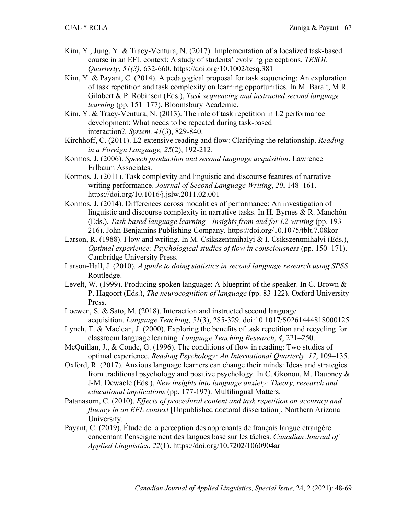- Kim, Y., Jung, Y. & Tracy-Ventura, N. (2017). Implementation of a localized task-based course in an EFL context: A study of students' evolving perceptions. *TESOL Quarterly, 51(3)*, 632-660. https://doi.org/10.1002/tesq.381
- Kim, Y. & Payant, C. (2014). A pedagogical proposal for task sequencing: An exploration of task repetition and task complexity on learning opportunities. In M. Baralt, M.R. Gilabert & P. Robinson (Eds.), *Task sequencing and instructed second language learning* (pp. 151–177). Bloomsbury Academic.
- Kim, Y. & Tracy-Ventura, N. (2013). The role of task repetition in L2 performance development: What needs to be repeated during task-based interaction?. *System, 41*(3), 829-840.
- Kirchhoff, C. (2011). L2 extensive reading and flow: Clarifying the relationship. *Reading in a Foreign Language, 25*(2), 192-212.
- Kormos, J. (2006). *Speech production and second language acquisition*. Lawrence Erlbaum Associates.
- Kormos, J. (2011). Task complexity and linguistic and discourse features of narrative writing performance. *Journal of Second Language Writing*, *20*, 148–161. https://doi.org/10.1016/j.jslw.2011.02.001
- Kormos, J. (2014). Differences across modalities of performance: An investigation of linguistic and discourse complexity in narrative tasks. In H. Byrnes & R. Manchón (Eds.), *Task-based language learning - Insights from and for L2-writing* (pp. 193– 216). John Benjamins Publishing Company. https://doi.org/10.1075/tblt.7.08kor
- Larson, R. (1988). Flow and writing. In M. Csikszentmihalyi & I. Csikszentmihalyi (Eds.), *Optimal experience: Psychological studies of flow in consciousness* (pp. 150–171). Cambridge University Press.
- Larson-Hall, J. (2010). *A guide to doing statistics in second language research using SPSS*. Routledge.
- Levelt, W. (1999). Producing spoken language: A blueprint of the speaker. In C. Brown & P. Hagoort (Eds.), *The neurocognition of language* (pp. 83-122). Oxford University Press.
- Loewen, S. & Sato, M. (2018). Interaction and instructed second language acquisition. *Language Teaching*, *51*(3), 285-329. doi:10.1017/S0261444818000125
- Lynch, T. & Maclean, J. (2000). Exploring the benefits of task repetition and recycling for classroom language learning. *Language Teaching Research*, *4*, 221–250.
- McQuillan, J., & Conde, G. (1996). The conditions of flow in reading: Two studies of optimal experience. *Reading Psychology: An International Quarterly, 17*, 109–135.
- Oxford, R. (2017). Anxious language learners can change their minds: Ideas and strategies from traditional psychology and positive psychology. In C. Gkonou, M. Daubney & J-M. Dewaele (Eds.), *New insights into language anxiety: Theory, research and educational implications* (pp. 177-197). Multilingual Matters.
- Patanasorn, C. (2010). *Effects of procedural content and task repetition on accuracy and fluency in an EFL context* [Unpublished doctoral dissertation], Northern Arizona University.
- Payant, C. (2019). Étude de la perception des apprenants de français langue étrangère concernant l'enseignement des langues basé sur les tâches. *Canadian Journal of Applied Linguistics*, *22*(1). https://doi.org/10.7202/1060904ar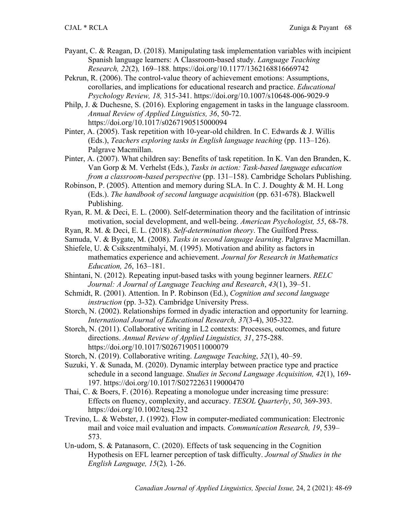- Payant, C. & Reagan, D. (2018). Manipulating task implementation variables with incipient Spanish language learners: A Classroom-based study. *Language Teaching Research, 22*(2)*,* 169–188. https://doi.org/10.1177/1362168816669742
- Pekrun, R. (2006). The control-value theory of achievement emotions: Assumptions, corollaries, and implications for educational research and practice. *Educational Psychology Review, 18,* 315-341. https://doi.org/10.1007/s10648-006-9029-9
- Philp, J. & Duchesne, S. (2016). Exploring engagement in tasks in the language classroom. *Annual Review of Applied Linguistics, 36*, 50-72. https://doi.org/10.1017/s0267190515000094
- Pinter, A. (2005). Task repetition with 10-year-old children. In C. Edwards & J. Willis (Eds.), *Teachers exploring tasks in English language teaching* (pp. 113–126). Palgrave Macmillan.
- Pinter, A. (2007). What children say: Benefits of task repetition. In K. Van den Branden, K. Van Gorp & M. Verhelst (Eds.), *Tasks in action: Task-based language education from a classroom-based perspective* (pp. 131–158). Cambridge Scholars Publishing.
- Robinson, P. (2005). Attention and memory during SLA. In C. J. Doughty & M. H. Long (Eds.). *The handbook of second language acquisition* (pp. 631-678). Blackwell Publishing.
- Ryan, R. M. & Deci, E. L. (2000). Self-determination theory and the facilitation of intrinsic motivation, social development, and well-being. *American Psychologist, 55*, 68-78.
- Ryan, R. M. & Deci, E. L. (2018). *Self-determination theory*. The Guilford Press.
- Samuda, V. & Bygate, M. (2008). *Tasks in second language learning*. Palgrave Macmillan.
- Shiefele, U. & Csikszentmihalyi, M. (1995). Motivation and ability as factors in mathematics experience and achievement. *Journal for Research in Mathematics Education, 26*, 163–181.
- Shintani, N. (2012). Repeating input-based tasks with young beginner learners. *RELC Journal: A Journal of Language Teaching and Research*, *43*(1), 39–51.
- Schmidt, R. (2001). Attention. In P. Robinson (Ed.), *Cognition and second language instruction* (pp. 3-32). Cambridge University Press.
- Storch, N. (2002). Relationships formed in dyadic interaction and opportunity for learning. *International Journal of Educational Research, 37*(3-4), 305-322.
- Storch, N. (2011). Collaborative writing in L2 contexts: Processes, outcomes, and future directions. *Annual Review of Applied Linguistics, 31*, 275-288. https://doi.org/10.1017/S0267190511000079
- Storch, N. (2019). Collaborative writing. *Language Teaching*, *52*(1), 40–59.
- Suzuki, Y. & Sunada, M. (2020). Dynamic interplay between practice type and practice schedule in a second language. *Studies in Second Language Acquisition, 42*(1), 169- 197. https://doi.org/10.1017/S0272263119000470
- Thai, C. & Boers, F. (2016). Repeating a monologue under increasing time pressure: Effects on fluency, complexity, and accuracy. *TESOL Quarterly*, *50*, 369-393. https://doi.org/10.1002/tesq.232
- Trevino, L. & Webster, J. (1992). Flow in computer-mediated communication: Electronic mail and voice mail evaluation and impacts. *Communication Research, 19*, 539– 573.
- Un-udom, S. & Patanasorn, C. (2020). Effects of task sequencing in the Cognition Hypothesis on EFL learner perception of task difficulty. *Journal of Studies in the English Language, 15*(2)*,* 1-26.